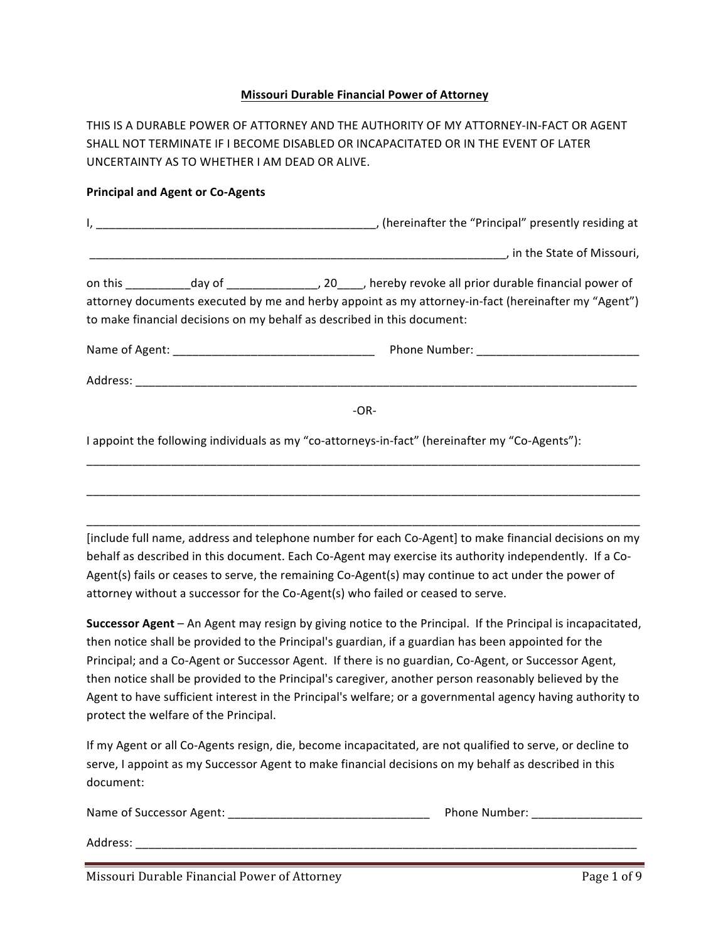## **Missouri Durable Financial Power of Attorney**

THIS IS A DURABLE POWER OF ATTORNEY AND THE AUTHORITY OF MY ATTORNEY-IN-FACT OR AGENT SHALL NOT TERMINATE IF I BECOME DISABLED OR INCAPACITATED OR IN THE EVENT OF LATER UNCERTAINTY AS TO WHETHER I AM DEAD OR ALIVE.

## **Principal and Agent or Co-Agents**

| The State of Missouri,                                                                                                                                                                                                                                                                      |
|---------------------------------------------------------------------------------------------------------------------------------------------------------------------------------------------------------------------------------------------------------------------------------------------|
| on this ____________day of _________________, 20_____, hereby revoke all prior durable financial power of<br>attorney documents executed by me and herby appoint as my attorney-in-fact (hereinafter my "Agent")<br>to make financial decisions on my behalf as described in this document: |
|                                                                                                                                                                                                                                                                                             |
|                                                                                                                                                                                                                                                                                             |
| $-OR-$                                                                                                                                                                                                                                                                                      |
| I appoint the following individuals as my "co-attorneys-in-fact" (hereinafter my "Co-Agents"):                                                                                                                                                                                              |
|                                                                                                                                                                                                                                                                                             |

[include full name, address and telephone number for each Co-Agent] to make financial decisions on my behalf as described in this document. Each Co-Agent may exercise its authority independently. If a Co-Agent(s) fails or ceases to serve, the remaining Co-Agent(s) may continue to act under the power of attorney without a successor for the Co-Agent(s) who failed or ceased to serve.

\_\_\_\_\_\_\_\_\_\_\_\_\_\_\_\_\_\_\_\_\_\_\_\_\_\_\_\_\_\_\_\_\_\_\_\_\_\_\_\_\_\_\_\_\_\_\_\_\_\_\_\_\_\_\_\_\_\_\_\_\_\_\_\_\_\_\_\_\_\_\_\_\_\_\_\_\_\_\_\_\_\_\_\_\_

**Successor Agent** – An Agent may resign by giving notice to the Principal. If the Principal is incapacitated, then notice shall be provided to the Principal's guardian, if a guardian has been appointed for the Principal; and a Co-Agent or Successor Agent. If there is no guardian, Co-Agent, or Successor Agent, then notice shall be provided to the Principal's caregiver, another person reasonably believed by the Agent to have sufficient interest in the Principal's welfare; or a governmental agency having authority to protect the welfare of the Principal.

If my Agent or all Co-Agents resign, die, become incapacitated, are not qualified to serve, or decline to serve, I appoint as my Successor Agent to make financial decisions on my behalf as described in this document:

| Name of Successor Agent: | <b>Phone Number:</b> |
|--------------------------|----------------------|
| Address:                 |                      |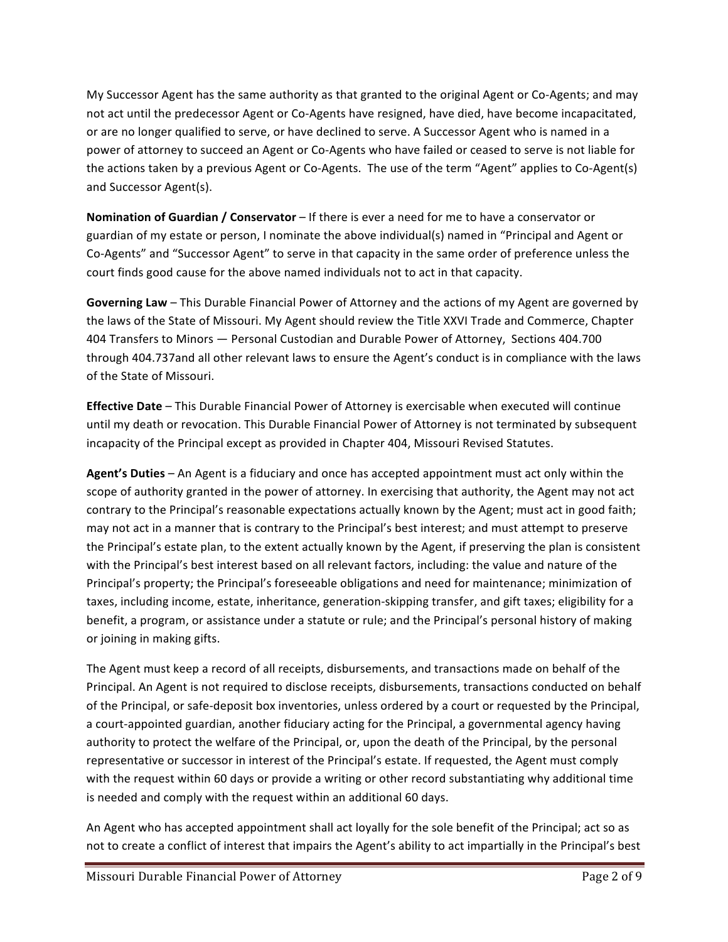My Successor Agent has the same authority as that granted to the original Agent or Co-Agents; and may not act until the predecessor Agent or Co-Agents have resigned, have died, have become incapacitated, or are no longer qualified to serve, or have declined to serve. A Successor Agent who is named in a power of attorney to succeed an Agent or Co-Agents who have failed or ceased to serve is not liable for the actions taken by a previous Agent or Co-Agents. The use of the term "Agent" applies to Co-Agent(s) and Successor Agent(s).

**Nomination of Guardian / Conservator** – If there is ever a need for me to have a conservator or guardian of my estate or person, I nominate the above individual(s) named in "Principal and Agent or Co-Agents" and "Successor Agent" to serve in that capacity in the same order of preference unless the court finds good cause for the above named individuals not to act in that capacity.

**Governing Law** – This Durable Financial Power of Attorney and the actions of my Agent are governed by the laws of the State of Missouri. My Agent should review the Title XXVI Trade and Commerce, Chapter 404 Transfers to Minors — Personal Custodian and Durable Power of Attorney, Sections 404.700 through 404.737and all other relevant laws to ensure the Agent's conduct is in compliance with the laws of the State of Missouri.

**Effective Date** – This Durable Financial Power of Attorney is exercisable when executed will continue until my death or revocation. This Durable Financial Power of Attorney is not terminated by subsequent incapacity of the Principal except as provided in Chapter 404, Missouri Revised Statutes.

**Agent's Duties** – An Agent is a fiduciary and once has accepted appointment must act only within the scope of authority granted in the power of attorney. In exercising that authority, the Agent may not act contrary to the Principal's reasonable expectations actually known by the Agent; must act in good faith; may not act in a manner that is contrary to the Principal's best interest; and must attempt to preserve the Principal's estate plan, to the extent actually known by the Agent, if preserving the plan is consistent with the Principal's best interest based on all relevant factors, including: the value and nature of the Principal's property; the Principal's foreseeable obligations and need for maintenance; minimization of taxes, including income, estate, inheritance, generation-skipping transfer, and gift taxes; eligibility for a benefit, a program, or assistance under a statute or rule; and the Principal's personal history of making or joining in making gifts.

The Agent must keep a record of all receipts, disbursements, and transactions made on behalf of the Principal. An Agent is not required to disclose receipts, disbursements, transactions conducted on behalf of the Principal, or safe-deposit box inventories, unless ordered by a court or requested by the Principal, a court-appointed guardian, another fiduciary acting for the Principal, a governmental agency having authority to protect the welfare of the Principal, or, upon the death of the Principal, by the personal representative or successor in interest of the Principal's estate. If requested, the Agent must comply with the request within 60 days or provide a writing or other record substantiating why additional time is needed and comply with the request within an additional 60 days.

An Agent who has accepted appointment shall act loyally for the sole benefit of the Principal; act so as not to create a conflict of interest that impairs the Agent's ability to act impartially in the Principal's best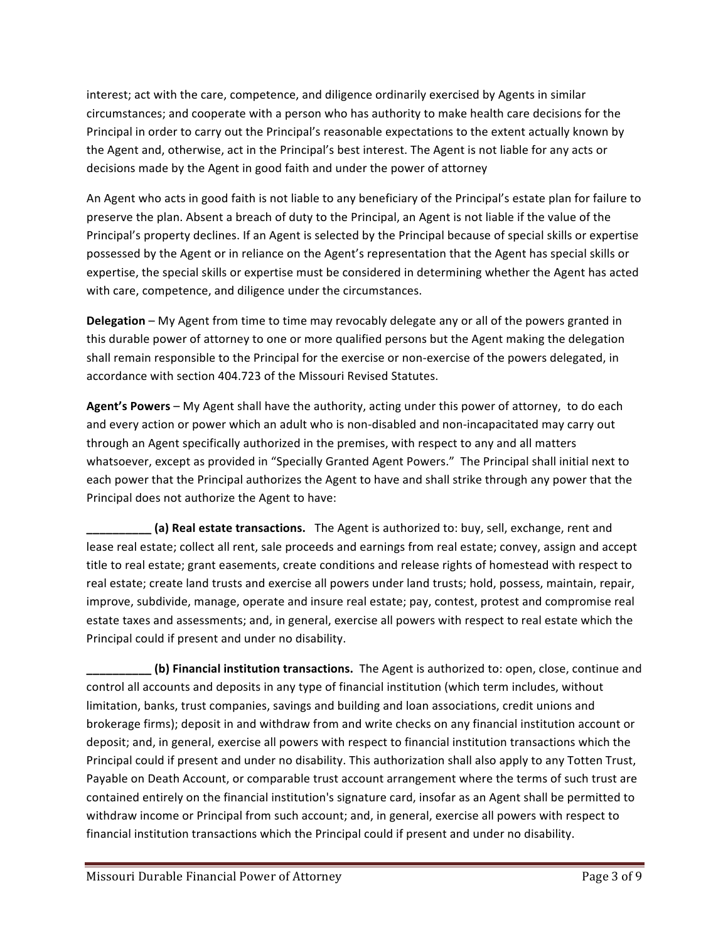interest; act with the care, competence, and diligence ordinarily exercised by Agents in similar circumstances; and cooperate with a person who has authority to make health care decisions for the Principal in order to carry out the Principal's reasonable expectations to the extent actually known by the Agent and, otherwise, act in the Principal's best interest. The Agent is not liable for any acts or decisions made by the Agent in good faith and under the power of attorney

An Agent who acts in good faith is not liable to any beneficiary of the Principal's estate plan for failure to preserve the plan. Absent a breach of duty to the Principal, an Agent is not liable if the value of the Principal's property declines. If an Agent is selected by the Principal because of special skills or expertise possessed by the Agent or in reliance on the Agent's representation that the Agent has special skills or expertise, the special skills or expertise must be considered in determining whether the Agent has acted with care, competence, and diligence under the circumstances.

**Delegation** – My Agent from time to time may revocably delegate any or all of the powers granted in this durable power of attorney to one or more qualified persons but the Agent making the delegation shall remain responsible to the Principal for the exercise or non-exercise of the powers delegated, in accordance with section 404.723 of the Missouri Revised Statutes.

Agent's Powers - My Agent shall have the authority, acting under this power of attorney, to do each and every action or power which an adult who is non-disabled and non-incapacitated may carry out through an Agent specifically authorized in the premises, with respect to any and all matters whatsoever, except as provided in "Specially Granted Agent Powers." The Principal shall initial next to each power that the Principal authorizes the Agent to have and shall strike through any power that the Principal does not authorize the Agent to have:

**\_\_\_\_\_\_\_\_\_\_ (a) Real estate transactions.** The Agent is authorized to: buy, sell, exchange, rent and lease real estate; collect all rent, sale proceeds and earnings from real estate; convey, assign and accept title to real estate; grant easements, create conditions and release rights of homestead with respect to real estate; create land trusts and exercise all powers under land trusts; hold, possess, maintain, repair, improve, subdivide, manage, operate and insure real estate; pay, contest, protest and compromise real estate taxes and assessments; and, in general, exercise all powers with respect to real estate which the Principal could if present and under no disability.

**(b) Financial institution transactions.** The Agent is authorized to: open, close, continue and control all accounts and deposits in any type of financial institution (which term includes, without limitation, banks, trust companies, savings and building and loan associations, credit unions and brokerage firms); deposit in and withdraw from and write checks on any financial institution account or deposit; and, in general, exercise all powers with respect to financial institution transactions which the Principal could if present and under no disability. This authorization shall also apply to any Totten Trust, Payable on Death Account, or comparable trust account arrangement where the terms of such trust are contained entirely on the financial institution's signature card, insofar as an Agent shall be permitted to withdraw income or Principal from such account; and, in general, exercise all powers with respect to financial institution transactions which the Principal could if present and under no disability.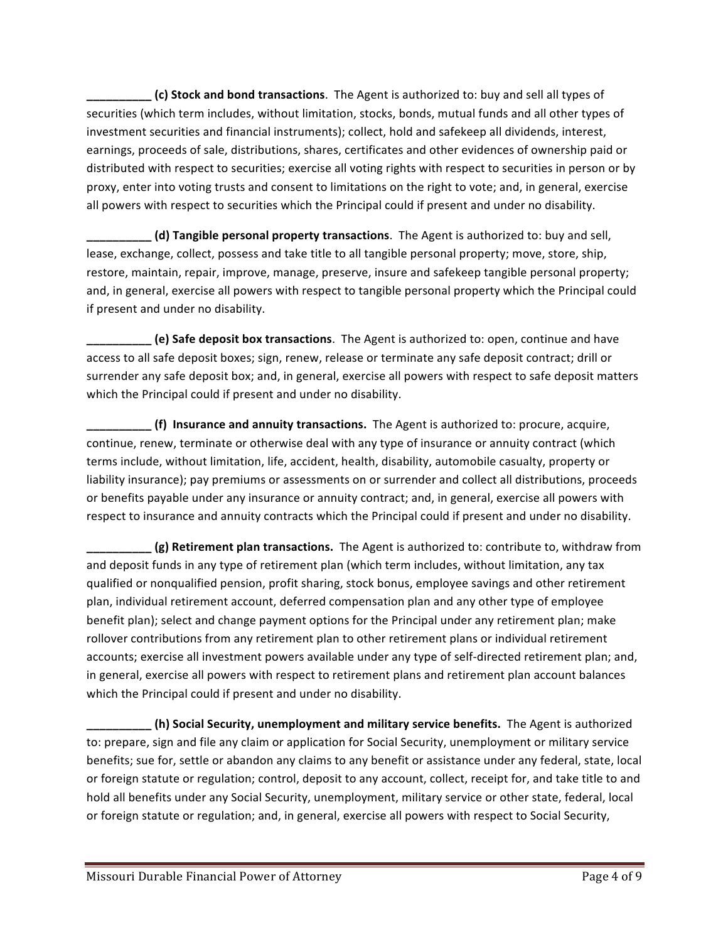**(c)** Stock and bond transactions. The Agent is authorized to: buy and sell all types of securities (which term includes, without limitation, stocks, bonds, mutual funds and all other types of investment securities and financial instruments); collect, hold and safekeep all dividends, interest, earnings, proceeds of sale, distributions, shares, certificates and other evidences of ownership paid or distributed with respect to securities; exercise all voting rights with respect to securities in person or by proxy, enter into voting trusts and consent to limitations on the right to vote; and, in general, exercise all powers with respect to securities which the Principal could if present and under no disability.

**L** (d) Tangible personal property transactions. The Agent is authorized to: buy and sell, lease, exchange, collect, possess and take title to all tangible personal property; move, store, ship, restore, maintain, repair, improve, manage, preserve, insure and safekeep tangible personal property; and, in general, exercise all powers with respect to tangible personal property which the Principal could if present and under no disability.

**Le) Safe deposit box transactions**. The Agent is authorized to: open, continue and have access to all safe deposit boxes; sign, renew, release or terminate any safe deposit contract; drill or surrender any safe deposit box; and, in general, exercise all powers with respect to safe deposit matters which the Principal could if present and under no disability.

**(f)** Insurance and annuity transactions. The Agent is authorized to: procure, acquire, continue, renew, terminate or otherwise deal with any type of insurance or annuity contract (which terms include, without limitation, life, accident, health, disability, automobile casualty, property or liability insurance); pay premiums or assessments on or surrender and collect all distributions, proceeds or benefits payable under any insurance or annuity contract; and, in general, exercise all powers with respect to insurance and annuity contracts which the Principal could if present and under no disability.

**(g)** Retirement plan transactions. The Agent is authorized to: contribute to, withdraw from and deposit funds in any type of retirement plan (which term includes, without limitation, any tax qualified or nonqualified pension, profit sharing, stock bonus, employee savings and other retirement plan, individual retirement account, deferred compensation plan and any other type of employee benefit plan); select and change payment options for the Principal under any retirement plan; make rollover contributions from any retirement plan to other retirement plans or individual retirement accounts; exercise all investment powers available under any type of self-directed retirement plan; and, in general, exercise all powers with respect to retirement plans and retirement plan account balances which the Principal could if present and under no disability.

**(h)** Social Security, unemployment and military service benefits. The Agent is authorized to: prepare, sign and file any claim or application for Social Security, unemployment or military service benefits; sue for, settle or abandon any claims to any benefit or assistance under any federal, state, local or foreign statute or regulation; control, deposit to any account, collect, receipt for, and take title to and hold all benefits under any Social Security, unemployment, military service or other state, federal, local or foreign statute or regulation; and, in general, exercise all powers with respect to Social Security,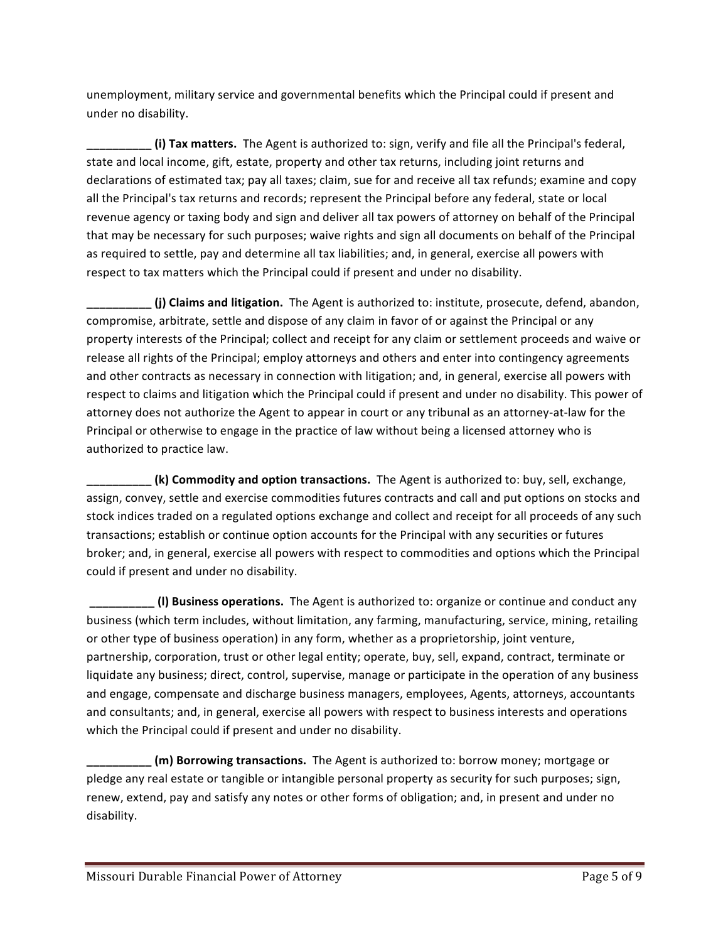unemployment, military service and governmental benefits which the Principal could if present and under no disability.

**(i)** Tax matters. The Agent is authorized to: sign, verify and file all the Principal's federal, state and local income, gift, estate, property and other tax returns, including joint returns and declarations of estimated tax; pay all taxes; claim, sue for and receive all tax refunds; examine and copy all the Principal's tax returns and records; represent the Principal before any federal, state or local revenue agency or taxing body and sign and deliver all tax powers of attorney on behalf of the Principal that may be necessary for such purposes; waive rights and sign all documents on behalf of the Principal as required to settle, pay and determine all tax liabilities; and, in general, exercise all powers with respect to tax matters which the Principal could if present and under no disability.

**(j)** Claims and litigation. The Agent is authorized to: institute, prosecute, defend, abandon, compromise, arbitrate, settle and dispose of any claim in favor of or against the Principal or any property interests of the Principal; collect and receipt for any claim or settlement proceeds and waive or release all rights of the Principal; employ attorneys and others and enter into contingency agreements and other contracts as necessary in connection with litigation; and, in general, exercise all powers with respect to claims and litigation which the Principal could if present and under no disability. This power of attorney does not authorize the Agent to appear in court or any tribunal as an attorney-at-law for the Principal or otherwise to engage in the practice of law without being a licensed attorney who is authorized to practice law.

**(k) Commodity and option transactions.** The Agent is authorized to: buy, sell, exchange, assign, convey, settle and exercise commodities futures contracts and call and put options on stocks and stock indices traded on a regulated options exchange and collect and receipt for all proceeds of any such transactions; establish or continue option accounts for the Principal with any securities or futures broker; and, in general, exercise all powers with respect to commodities and options which the Principal could if present and under no disability.

**\_\_\_\_ (I) Business operations.** The Agent is authorized to: organize or continue and conduct any business (which term includes, without limitation, any farming, manufacturing, service, mining, retailing or other type of business operation) in any form, whether as a proprietorship, joint venture, partnership, corporation, trust or other legal entity; operate, buy, sell, expand, contract, terminate or liquidate any business; direct, control, supervise, manage or participate in the operation of any business and engage, compensate and discharge business managers, employees, Agents, attorneys, accountants and consultants; and, in general, exercise all powers with respect to business interests and operations which the Principal could if present and under no disability.

**\_\_\_\_\_\_\_\_\_\_ (m) Borrowing transactions.** The Agent is authorized to: borrow money; mortgage or pledge any real estate or tangible or intangible personal property as security for such purposes; sign, renew, extend, pay and satisfy any notes or other forms of obligation; and, in present and under no disability.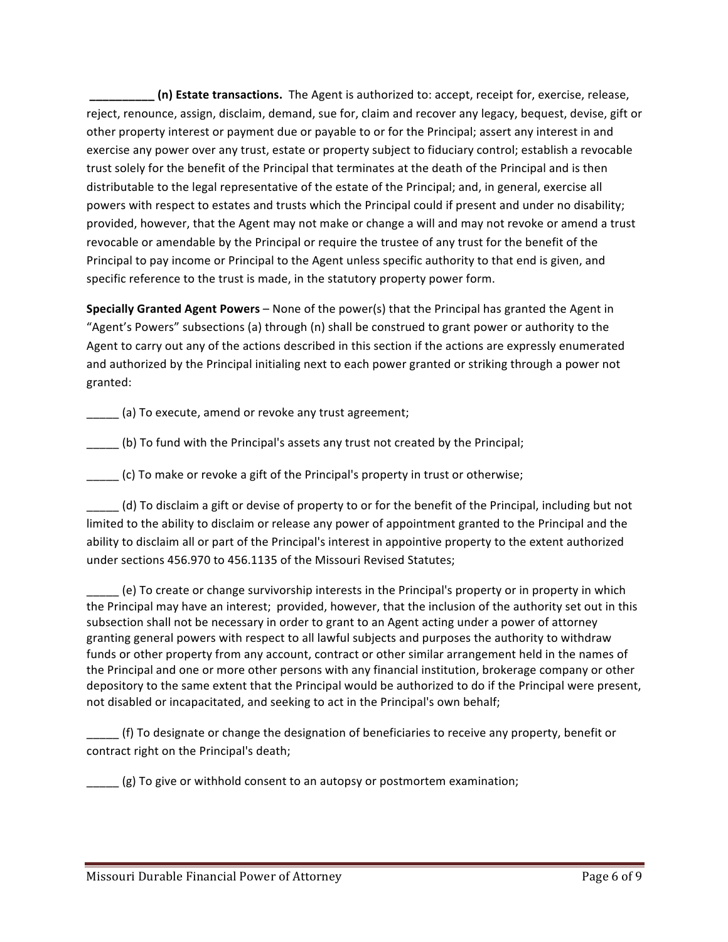**\_\_\_\_\_\_\_\_\_\_ (n) Estate transactions.** The Agent is authorized to: accept, receipt for, exercise, release, reject, renounce, assign, disclaim, demand, sue for, claim and recover any legacy, bequest, devise, gift or other property interest or payment due or payable to or for the Principal; assert any interest in and exercise any power over any trust, estate or property subject to fiduciary control; establish a revocable trust solely for the benefit of the Principal that terminates at the death of the Principal and is then distributable to the legal representative of the estate of the Principal; and, in general, exercise all powers with respect to estates and trusts which the Principal could if present and under no disability; provided, however, that the Agent may not make or change a will and may not revoke or amend a trust revocable or amendable by the Principal or require the trustee of any trust for the benefit of the Principal to pay income or Principal to the Agent unless specific authority to that end is given, and specific reference to the trust is made, in the statutory property power form.

**Specially Granted Agent Powers** – None of the power(s) that the Principal has granted the Agent in "Agent's Powers" subsections (a) through (n) shall be construed to grant power or authority to the Agent to carry out any of the actions described in this section if the actions are expressly enumerated and authorized by the Principal initialing next to each power granted or striking through a power not granted: 

(a) To execute, amend or revoke any trust agreement;

(b) To fund with the Principal's assets any trust not created by the Principal;

\_\_\_\_\_\_ (c) To make or revoke a gift of the Principal's property in trust or otherwise;

(d) To disclaim a gift or devise of property to or for the benefit of the Principal, including but not limited to the ability to disclaim or release any power of appointment granted to the Principal and the ability to disclaim all or part of the Principal's interest in appointive property to the extent authorized under sections 456.970 to 456.1135 of the Missouri Revised Statutes;

\_\_\_\_\_ (e) To create or change survivorship interests in the Principal's property or in property in which the Principal may have an interest; provided, however, that the inclusion of the authority set out in this subsection shall not be necessary in order to grant to an Agent acting under a power of attorney granting general powers with respect to all lawful subjects and purposes the authority to withdraw funds or other property from any account, contract or other similar arrangement held in the names of the Principal and one or more other persons with any financial institution, brokerage company or other depository to the same extent that the Principal would be authorized to do if the Principal were present, not disabled or incapacitated, and seeking to act in the Principal's own behalf;

\_\_\_\_\_ (f) To designate or change the designation of beneficiaries to receive any property, benefit or contract right on the Principal's death;

 $\frac{1}{\sqrt{2}}$  (g) To give or withhold consent to an autopsy or postmortem examination;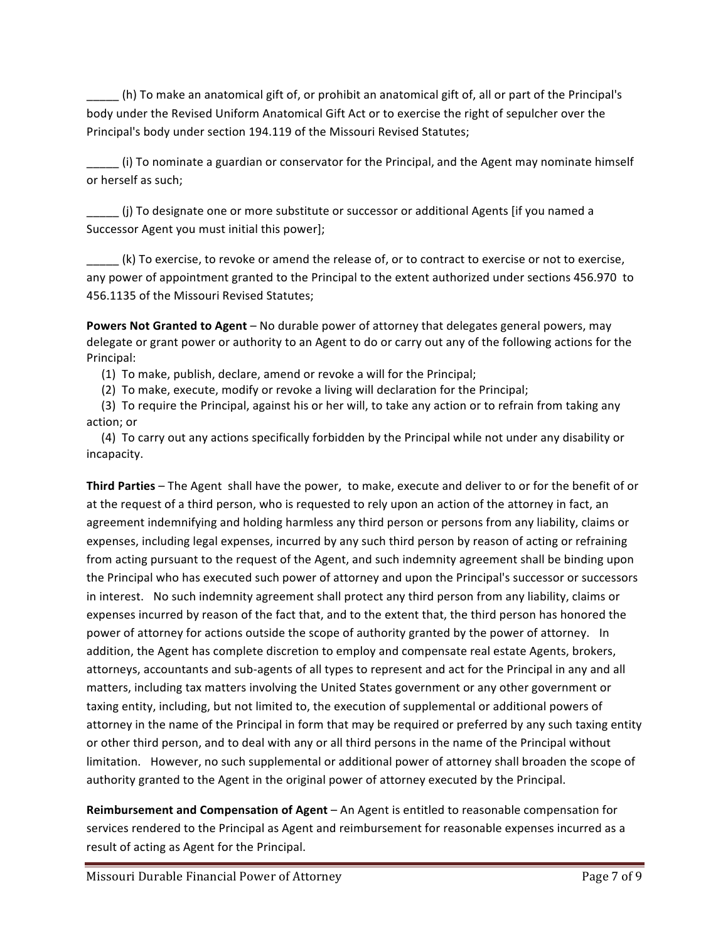\_\_\_\_\_ (h) To make an anatomical gift of, or prohibit an anatomical gift of, all or part of the Principal's body under the Revised Uniform Anatomical Gift Act or to exercise the right of sepulcher over the Principal's body under section 194.119 of the Missouri Revised Statutes;

(i) To nominate a guardian or conservator for the Principal, and the Agent may nominate himself or herself as such:

\_\_\_\_\_ (j) To designate one or more substitute or successor or additional Agents [if you named a Successor Agent you must initial this power];

(k) To exercise, to revoke or amend the release of, or to contract to exercise or not to exercise, any power of appointment granted to the Principal to the extent authorized under sections 456.970 to 456.1135 of the Missouri Revised Statutes;

**Powers Not Granted to Agent** – No durable power of attorney that delegates general powers, may delegate or grant power or authority to an Agent to do or carry out any of the following actions for the Principal:

(1) To make, publish, declare, amend or revoke a will for the Principal;

(2) To make, execute, modify or revoke a living will declaration for the Principal;

(3) To require the Principal, against his or her will, to take any action or to refrain from taking any action; or

(4) To carry out any actions specifically forbidden by the Principal while not under any disability or incapacity.

**Third Parties** – The Agent shall have the power, to make, execute and deliver to or for the benefit of or at the request of a third person, who is requested to rely upon an action of the attorney in fact, an agreement indemnifying and holding harmless any third person or persons from any liability, claims or expenses, including legal expenses, incurred by any such third person by reason of acting or refraining from acting pursuant to the request of the Agent, and such indemnity agreement shall be binding upon the Principal who has executed such power of attorney and upon the Principal's successor or successors in interest. No such indemnity agreement shall protect any third person from any liability, claims or expenses incurred by reason of the fact that, and to the extent that, the third person has honored the power of attorney for actions outside the scope of authority granted by the power of attorney. In addition, the Agent has complete discretion to employ and compensate real estate Agents, brokers, attorneys, accountants and sub-agents of all types to represent and act for the Principal in any and all matters, including tax matters involving the United States government or any other government or taxing entity, including, but not limited to, the execution of supplemental or additional powers of attorney in the name of the Principal in form that may be required or preferred by any such taxing entity or other third person, and to deal with any or all third persons in the name of the Principal without limitation. However, no such supplemental or additional power of attorney shall broaden the scope of authority granted to the Agent in the original power of attorney executed by the Principal.

**Reimbursement and Compensation of Agent** – An Agent is entitled to reasonable compensation for services rendered to the Principal as Agent and reimbursement for reasonable expenses incurred as a result of acting as Agent for the Principal.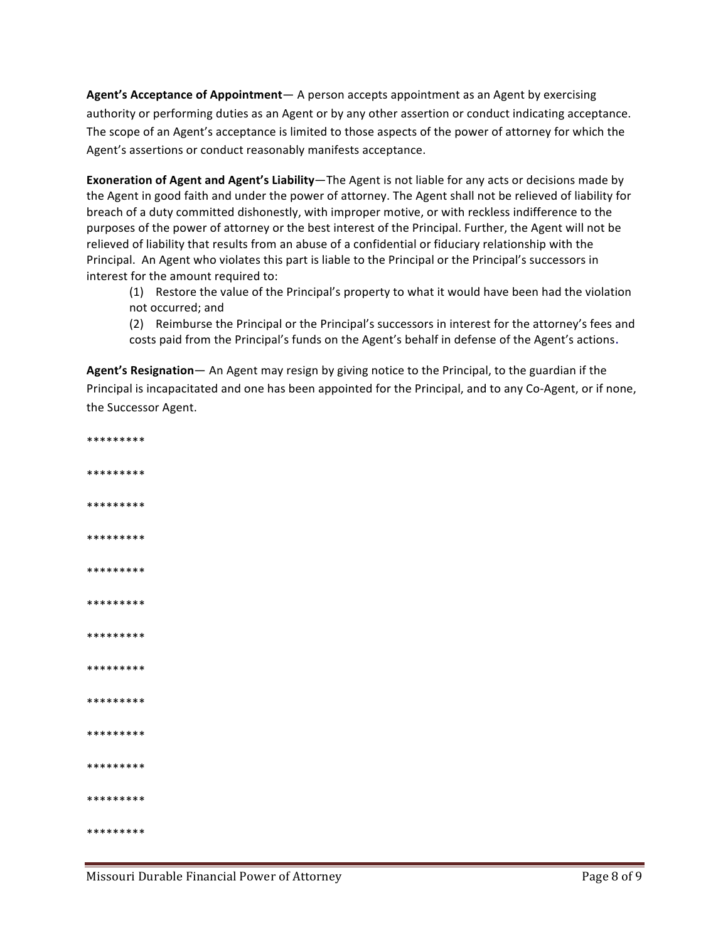**Agent's Acceptance of Appointment**— A person accepts appointment as an Agent by exercising authority or performing duties as an Agent or by any other assertion or conduct indicating acceptance. The scope of an Agent's acceptance is limited to those aspects of the power of attorney for which the Agent's assertions or conduct reasonably manifests acceptance.

**Exoneration of Agent and Agent's Liability**—The Agent is not liable for any acts or decisions made by the Agent in good faith and under the power of attorney. The Agent shall not be relieved of liability for breach of a duty committed dishonestly, with improper motive, or with reckless indifference to the purposes of the power of attorney or the best interest of the Principal. Further, the Agent will not be relieved of liability that results from an abuse of a confidential or fiduciary relationship with the Principal. An Agent who violates this part is liable to the Principal or the Principal's successors in interest for the amount required to:

(1) Restore the value of the Principal's property to what it would have been had the violation not occurred; and

(2) Reimburse the Principal or the Principal's successors in interest for the attorney's fees and costs paid from the Principal's funds on the Agent's behalf in defense of the Agent's actions.

**Agent's Resignation**— An Agent may resign by giving notice to the Principal, to the guardian if the Principal is incapacitated and one has been appointed for the Principal, and to any Co-Agent, or if none, the Successor Agent.

\*\*\*\*\*\*\*\*\* \*\*\*\*\*\*\*\*\* \*\*\*\*\*\*\*\*\* \*\*\*\*\*\*\*\*\* \*\*\*\*\*\*\*\*\* \*\*\*\*\*\*\*\*\* \*\*\*\*\*\*\*\*\* \*\*\*\*\*\*\*\*\* \*\*\*\*\*\*\*\*\* \*\*\*\*\*\*\*\*\* \*\*\*\*\*\*\*\*\* \*\*\*\*\*\*\*\*\* \*\*\*\*\*\*\*\*\*